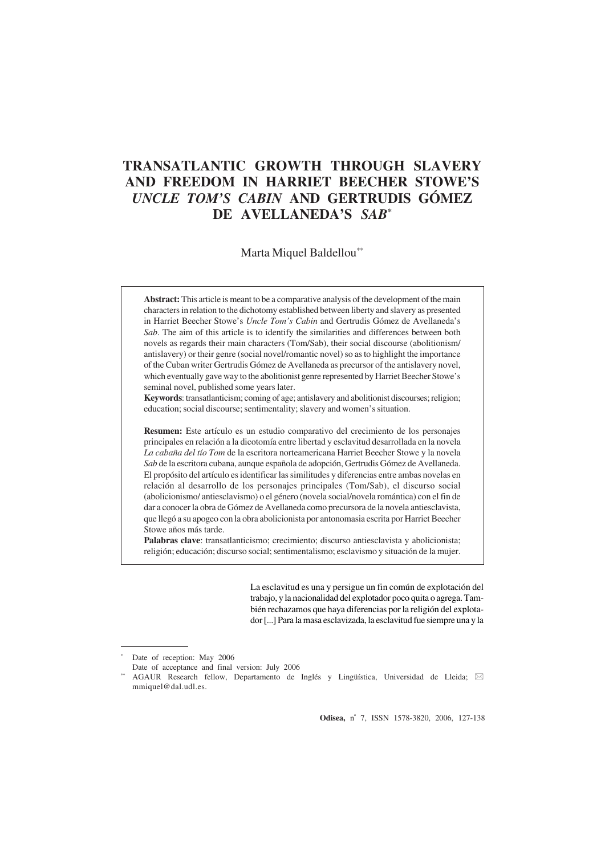# **TRANSATLANTIC GROWTH THROUGH SLAVERY AND FREEDOM IN HARRIET BEECHER STOWE'S** *UNCLE TOM'S CABIN* **AND GERTRUDIS GÓMEZ DE AVELLANEDA'S** *SAB***\***

Marta Miquel Baldellou\*\*

**Abstract:** This article is meant to be a comparative analysis of the development of the main characters in relation to the dichotomy established between liberty and slavery as presented in Harriet Beecher Stowe's *Uncle Tom's Cabin* and Gertrudis Gómez de Avellaneda's *Sab*. The aim of this article is to identify the similarities and differences between both novels as regards their main characters (Tom/Sab), their social discourse (abolitionism/ antislavery) or their genre (social novel/romantic novel) so as to highlight the importance of the Cuban writer Gertrudis Gómez de Avellaneda as precursor of the antislavery novel, which eventually gave way to the abolitionist genre represented by Harriet Beecher Stowe's seminal novel, published some years later.

**Keywords**: transatlanticism; coming of age; antislavery and abolitionist discourses; religion; education; social discourse; sentimentality; slavery and women's situation.

**Resumen:** Este artículo es un estudio comparativo del crecimiento de los personajes principales en relación a la dicotomía entre libertad y esclavitud desarrollada en la novela *La cabaña del tío Tom* de la escritora norteamericana Harriet Beecher Stowe y la novela *Sab* de la escritora cubana, aunque española de adopción, Gertrudis Gómez de Avellaneda. El propósito del artículo es identificar las similitudes y diferencias entre ambas novelas en relación al desarrollo de los personajes principales (Tom/Sab), el discurso social (abolicionismo/ antiesclavismo) o el género (novela social/novela romántica) con el fin de dar a conocer la obra de Gómez de Avellaneda como precursora de la novela antiesclavista, que llegó a su apogeo con la obra abolicionista por antonomasia escrita por Harriet Beecher Stowe años más tarde.

**Palabras clave**: transatlanticismo; crecimiento; discurso antiesclavista y abolicionista; religión; educación; discurso social; sentimentalismo; esclavismo y situación de la mujer.

> La esclavitud es una y persigue un fin común de explotación del trabajo, y la nacionalidad del explotador poco quita o agrega. También rechazamos que haya diferencias por la religión del explotador [...] Para la masa esclavizada, la esclavitud fue siempre una y la

**Odisea,** nº 7, ISSN 1578-3820, 2006, 127-138

Date of reception: May 2006

Date of acceptance and final version: July 2006

<sup>\*\*</sup> AGAUR Research fellow, Departamento de Inglés y Lingüística, Universidad de Lleida;  $\boxtimes$ mmiquel@dal.udl.es.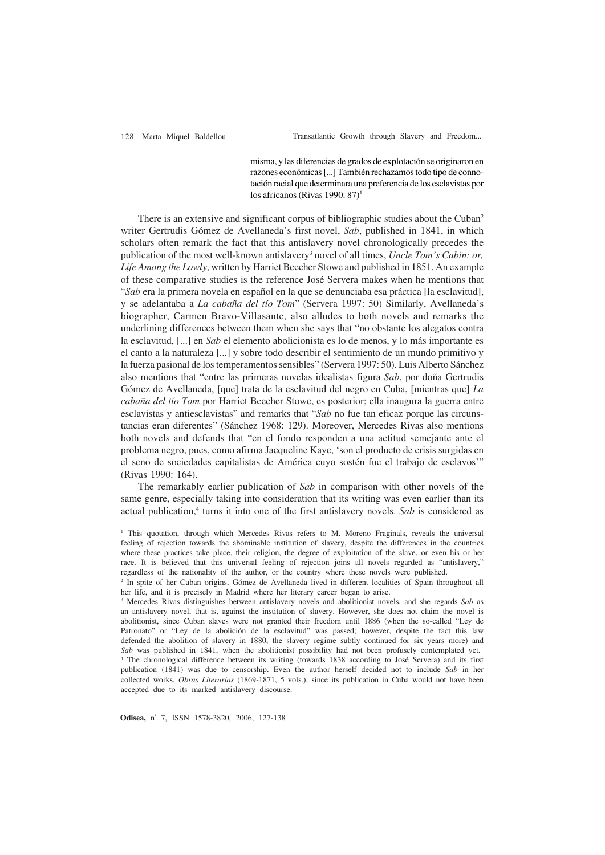misma, y las diferencias de grados de explotación se originaron en razones económicas [...] También rechazamos todo tipo de connotación racial que determinara una preferencia de los esclavistas por los africanos (Rivas 1990: 87)<sup>1</sup>

There is an extensive and significant corpus of bibliographic studies about the Cuban<sup>2</sup> writer Gertrudis Gómez de Avellaneda's first novel, *Sab*, published in 1841, in which scholars often remark the fact that this antislavery novel chronologically precedes the publication of the most well-known antislavery<sup>3</sup> novel of all times, *Uncle Tom's Cabin; or, Life Among the Lowly*, written by Harriet Beecher Stowe and published in 1851. An example of these comparative studies is the reference José Servera makes when he mentions that "*Sab* era la primera novela en español en la que se denunciaba esa práctica [la esclavitud], y se adelantaba a *La cabaña del tío Tom*" (Servera 1997: 50) Similarly, Avellaneda's biographer, Carmen Bravo-Villasante, also alludes to both novels and remarks the underlining differences between them when she says that "no obstante los alegatos contra la esclavitud, [...] en *Sab* el elemento abolicionista es lo de menos, y lo más importante es el canto a la naturaleza [...] y sobre todo describir el sentimiento de un mundo primitivo y la fuerza pasional de los temperamentos sensibles" (Servera 1997: 50). Luis Alberto Sánchez also mentions that "entre las primeras novelas idealistas figura *Sab*, por doña Gertrudis Gómez de Avellaneda, [que] trata de la esclavitud del negro en Cuba, [mientras que] *La cabaña del tío Tom* por Harriet Beecher Stowe, es posterior; ella inaugura la guerra entre esclavistas y antiesclavistas" and remarks that "*Sab* no fue tan eficaz porque las circunstancias eran diferentes" (Sánchez 1968: 129). Moreover, Mercedes Rivas also mentions both novels and defends that "en el fondo responden a una actitud semejante ante el problema negro, pues, como afirma Jacqueline Kaye, 'son el producto de crisis surgidas en el seno de sociedades capitalistas de América cuyo sostén fue el trabajo de esclavos'" (Rivas 1990: 164).

The remarkably earlier publication of *Sab* in comparison with other novels of the same genre, especially taking into consideration that its writing was even earlier than its actual publication,<sup>4</sup> turns it into one of the first antislavery novels. Sab is considered as

**Odisea,** nº 7, ISSN 1578-3820, 2006, 127-138

<sup>&</sup>lt;sup>1</sup> This quotation, through which Mercedes Rivas refers to M. Moreno Fraginals, reveals the universal feeling of rejection towards the abominable institution of slavery, despite the differences in the countries where these practices take place, their religion, the degree of exploitation of the slave, or even his or her race. It is believed that this universal feeling of rejection joins all novels regarded as "antislavery," regardless of the nationality of the author, or the country where these novels were published.

<sup>2</sup> In spite of her Cuban origins, Gómez de Avellaneda lived in different localities of Spain throughout all her life, and it is precisely in Madrid where her literary career began to arise.

<sup>3</sup> Mercedes Rivas distinguishes between antislavery novels and abolitionist novels, and she regards *Sab* as an antislavery novel, that is, against the institution of slavery. However, she does not claim the novel is abolitionist, since Cuban slaves were not granted their freedom until 1886 (when the so-called "Ley de Patronato" or "Ley de la abolición de la esclavitud" was passed; however, despite the fact this law defended the abolition of slavery in 1880, the slavery regime subtly continued for six years more) and *Sab* was published in 1841, when the abolitionist possibility had not been profusely contemplated yet. 4 The chronological difference between its writing (towards 1838 according to José Servera) and its first publication (1841) was due to censorship. Even the author herself decided not to include *Sab* in her collected works, *Obras Literarias* (1869-1871, 5 vols.), since its publication in Cuba would not have been accepted due to its marked antislavery discourse.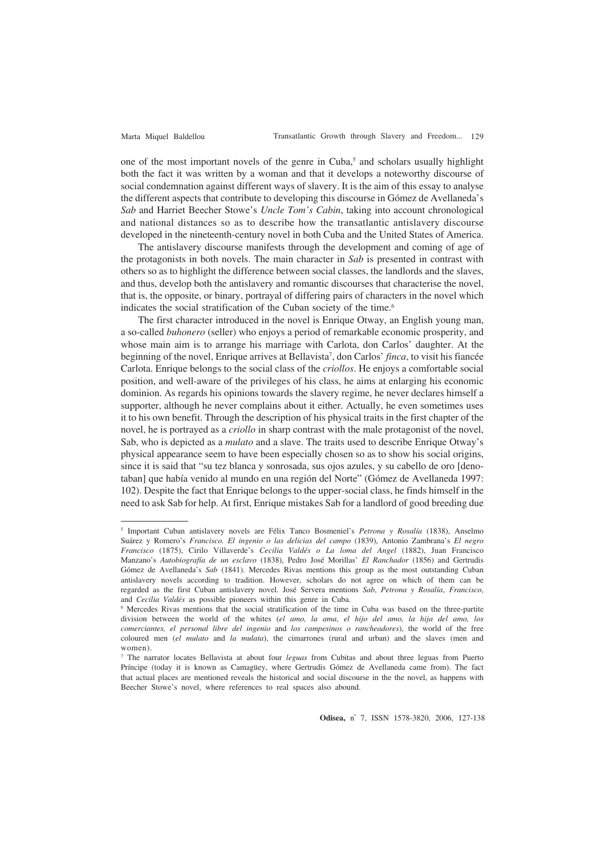one of the most important novels of the genre in Cuba,<sup>5</sup> and scholars usually highlight both the fact it was written by a woman and that it develops a noteworthy discourse of social condemnation against different ways of slavery. It is the aim of this essay to analyse the different aspects that contribute to developing this discourse in Gómez de Avellaneda's *Sab* and Harriet Beecher Stowe's *Uncle Tom's Cabin*, taking into account chronological and national distances so as to describe how the transatlantic antislavery discourse developed in the nineteenth-century novel in both Cuba and the United States of America.

The antislavery discourse manifests through the development and coming of age of the protagonists in both novels. The main character in *Sab* is presented in contrast with others so as to highlight the difference between social classes, the landlords and the slaves, and thus, develop both the antislavery and romantic discourses that characterise the novel, that is, the opposite, or binary, portrayal of differing pairs of characters in the novel which indicates the social stratification of the Cuban society of the time.<sup>6</sup>

The first character introduced in the novel is Enrique Otway, an English young man, a so-called *buhonero* (seller) who enjoys a period of remarkable economic prosperity, and whose main aim is to arrange his marriage with Carlota, don Carlos' daughter. At the beginning of the novel, Enrique arrives at Bellavista<sup>7</sup>, don Carlos' *finca*, to visit his fiancée Carlota. Enrique belongs to the social class of the *criollos*. He enjoys a comfortable social position, and well-aware of the privileges of his class, he aims at enlarging his economic dominion. As regards his opinions towards the slavery regime, he never declares himself a supporter, although he never complains about it either. Actually, he even sometimes uses it to his own benefit. Through the description of his physical traits in the first chapter of the novel, he is portrayed as a *criollo* in sharp contrast with the male protagonist of the novel, Sab, who is depicted as a *mulato* and a slave. The traits used to describe Enrique Otway's physical appearance seem to have been especially chosen so as to show his social origins, since it is said that "su tez blanca y sonrosada, sus ojos azules, y su cabello de oro [denotaban] que había venido al mundo en una región del Norte" (Gómez de Avellaneda 1997: 102). Despite the fact that Enrique belongs to the upper-social class, he finds himself in the need to ask Sab for help. At first, Enrique mistakes Sab for a landlord of good breeding due

<sup>5</sup> Important Cuban antislavery novels are Félix Tanco Bosmeniel's *Petrona y Rosalía* (1838), Anselmo Suárez y Romero's *Francisco. El ingenio o las delicias del campo* (1839), Antonio Zambrana's *El negro Francisco* (1875), Cirilo Villaverde's *Cecilia Valdés o La loma del Angel* (1882), Juan Francisco Manzano's *Autobiografía de un esclavo* (1838), Pedro José Morillas' *El Ranchador* (1856) and Gertrudis Gómez de Avellaneda's *Sab* (1841). Mercedes Rivas mentions this group as the most outstanding Cuban antislavery novels according to tradition. However, scholars do not agree on which of them can be regarded as the first Cuban antislavery novel. José Servera mentions *Sab*, *Petrona y Rosalía*, *Francisco*, and *Cecilia Valdés* as possible pioneers within this genre in Cuba.

<sup>6</sup> Mercedes Rivas mentions that the social stratification of the time in Cuba was based on the three-partite division between the world of the whites (*el amo, la ama, el hijo del amo, la hija del amo, los comerciantes, el personal libre del ingenio* and *los campesinos o rancheadores*), the world of the free coloured men (*el mulato* and *la mulata*), the cimarrones (rural and urban) and the slaves (men and women).

<sup>7</sup> The narrator locates Bellavista at about four *leguas* from Cubitas and about three leguas from Puerto Príncipe (today it is known as Camagüey, where Gertrudis Gómez de Avellaneda came from). The fact that actual places are mentioned reveals the historical and social discourse in the the novel, as happens with Beecher Stowe's novel, where references to real spaces also abound.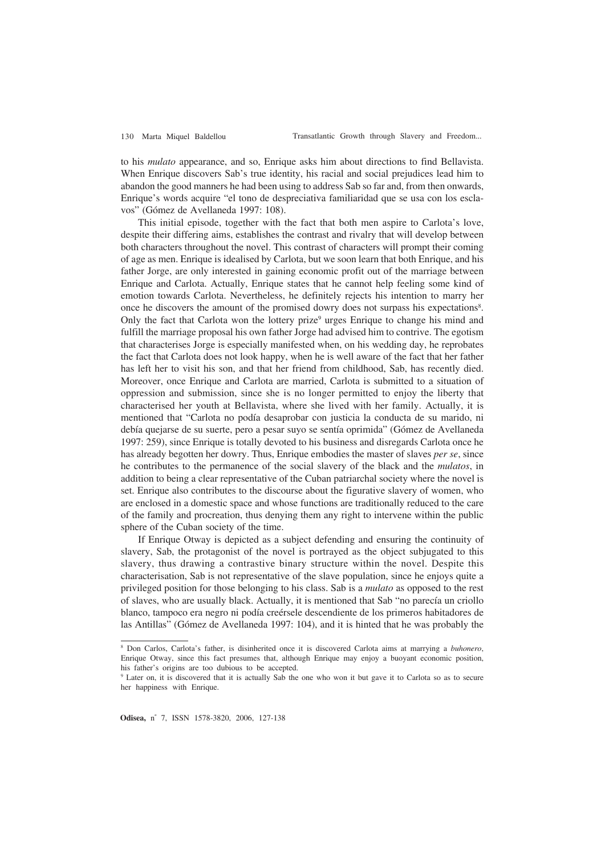to his *mulato* appearance, and so, Enrique asks him about directions to find Bellavista. When Enrique discovers Sab's true identity, his racial and social prejudices lead him to abandon the good manners he had been using to address Sab so far and, from then onwards, Enrique's words acquire "el tono de despreciativa familiaridad que se usa con los esclavos" (Gómez de Avellaneda 1997: 108).

This initial episode, together with the fact that both men aspire to Carlota's love, despite their differing aims, establishes the contrast and rivalry that will develop between both characters throughout the novel. This contrast of characters will prompt their coming of age as men. Enrique is idealised by Carlota, but we soon learn that both Enrique, and his father Jorge, are only interested in gaining economic profit out of the marriage between Enrique and Carlota. Actually, Enrique states that he cannot help feeling some kind of emotion towards Carlota. Nevertheless, he definitely rejects his intention to marry her once he discovers the amount of the promised dowry does not surpass his expectations<sup>8</sup>. Only the fact that Carlota won the lottery prize<sup>9</sup> urges Enrique to change his mind and fulfill the marriage proposal his own father Jorge had advised him to contrive. The egotism that characterises Jorge is especially manifested when, on his wedding day, he reprobates the fact that Carlota does not look happy, when he is well aware of the fact that her father has left her to visit his son, and that her friend from childhood, Sab, has recently died. Moreover, once Enrique and Carlota are married, Carlota is submitted to a situation of oppression and submission, since she is no longer permitted to enjoy the liberty that characterised her youth at Bellavista, where she lived with her family. Actually, it is mentioned that "Carlota no podía desaprobar con justicia la conducta de su marido, ni debía quejarse de su suerte, pero a pesar suyo se sentía oprimida" (Gómez de Avellaneda 1997: 259), since Enrique is totally devoted to his business and disregards Carlota once he has already begotten her dowry. Thus, Enrique embodies the master of slaves *per se*, since he contributes to the permanence of the social slavery of the black and the *mulatos*, in addition to being a clear representative of the Cuban patriarchal society where the novel is set. Enrique also contributes to the discourse about the figurative slavery of women, who are enclosed in a domestic space and whose functions are traditionally reduced to the care of the family and procreation, thus denying them any right to intervene within the public sphere of the Cuban society of the time.

If Enrique Otway is depicted as a subject defending and ensuring the continuity of slavery, Sab, the protagonist of the novel is portrayed as the object subjugated to this slavery, thus drawing a contrastive binary structure within the novel. Despite this characterisation, Sab is not representative of the slave population, since he enjoys quite a privileged position for those belonging to his class. Sab is a *mulato* as opposed to the rest of slaves, who are usually black. Actually, it is mentioned that Sab "no parecía un criollo blanco, tampoco era negro ni podía creérsele descendiente de los primeros habitadores de las Antillas" (Gómez de Avellaneda 1997: 104), and it is hinted that he was probably the

**Odisea,** nº 7, ISSN 1578-3820, 2006, 127-138

<sup>8</sup> Don Carlos, Carlota's father, is disinherited once it is discovered Carlota aims at marrying a *buhonero*, Enrique Otway, since this fact presumes that, although Enrique may enjoy a buoyant economic position, his father's origins are too dubious to be accepted.

<sup>9</sup> Later on, it is discovered that it is actually Sab the one who won it but gave it to Carlota so as to secure her happiness with Enrique.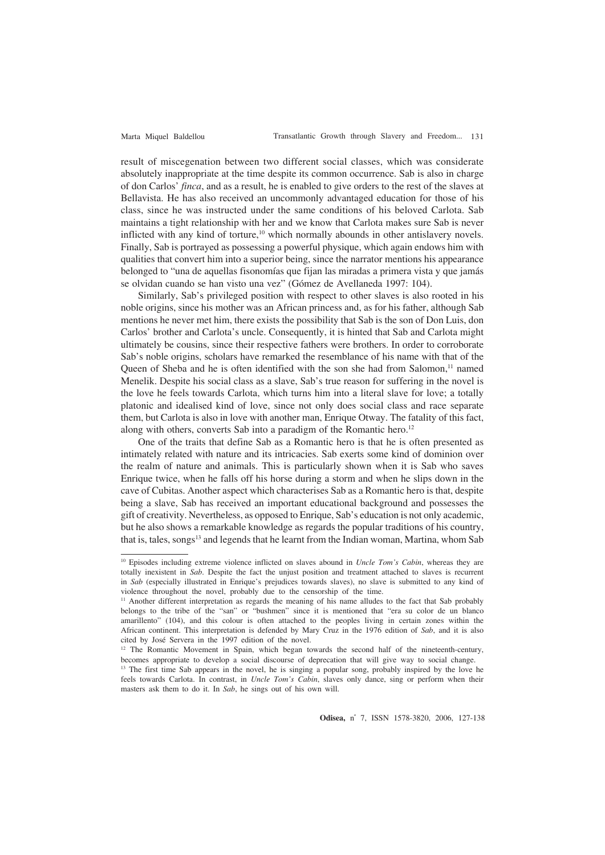result of miscegenation between two different social classes, which was considerate absolutely inappropriate at the time despite its common occurrence. Sab is also in charge of don Carlos' *finca*, and as a result, he is enabled to give orders to the rest of the slaves at Bellavista. He has also received an uncommonly advantaged education for those of his class, since he was instructed under the same conditions of his beloved Carlota. Sab maintains a tight relationship with her and we know that Carlota makes sure Sab is never inflicted with any kind of torture,<sup>10</sup> which normally abounds in other antislavery novels. Finally, Sab is portrayed as possessing a powerful physique, which again endows him with qualities that convert him into a superior being, since the narrator mentions his appearance belonged to "una de aquellas fisonomías que fijan las miradas a primera vista y que jamás se olvidan cuando se han visto una vez" (Gómez de Avellaneda 1997: 104).

Similarly, Sab's privileged position with respect to other slaves is also rooted in his noble origins, since his mother was an African princess and, as for his father, although Sab mentions he never met him, there exists the possibility that Sab is the son of Don Luis, don Carlos' brother and Carlota's uncle. Consequently, it is hinted that Sab and Carlota might ultimately be cousins, since their respective fathers were brothers. In order to corroborate Sab's noble origins, scholars have remarked the resemblance of his name with that of the Queen of Sheba and he is often identified with the son she had from Salomon,<sup>11</sup> named Menelik. Despite his social class as a slave, Sab's true reason for suffering in the novel is the love he feels towards Carlota, which turns him into a literal slave for love; a totally platonic and idealised kind of love, since not only does social class and race separate them, but Carlota is also in love with another man, Enrique Otway. The fatality of this fact, along with others, converts Sab into a paradigm of the Romantic hero.<sup>12</sup>

One of the traits that define Sab as a Romantic hero is that he is often presented as intimately related with nature and its intricacies. Sab exerts some kind of dominion over the realm of nature and animals. This is particularly shown when it is Sab who saves Enrique twice, when he falls off his horse during a storm and when he slips down in the cave of Cubitas. Another aspect which characterises Sab as a Romantic hero is that, despite being a slave, Sab has received an important educational background and possesses the gift of creativity. Nevertheless, as opposed to Enrique, Sab's education is not only academic, but he also shows a remarkable knowledge as regards the popular traditions of his country, that is, tales, songs<sup>13</sup> and legends that he learnt from the Indian woman, Martina, whom Sab

<sup>10</sup> Episodes including extreme violence inflicted on slaves abound in *Uncle Tom's Cabin*, whereas they are totally inexistent in *Sab*. Despite the fact the unjust position and treatment attached to slaves is recurrent in *Sab* (especially illustrated in Enrique's prejudices towards slaves), no slave is submitted to any kind of violence throughout the novel, probably due to the censorship of the time.

<sup>&</sup>lt;sup>11</sup> Another different interpretation as regards the meaning of his name alludes to the fact that Sab probably belongs to the tribe of the "san" or "bushmen" since it is mentioned that "era su color de un blanco amarillento" (104), and this colour is often attached to the peoples living in certain zones within the African continent. This interpretation is defended by Mary Cruz in the 1976 edition of *Sab*, and it is also cited by José Servera in the 1997 edition of the novel.

<sup>&</sup>lt;sup>12</sup> The Romantic Movement in Spain, which began towards the second half of the nineteenth-century, becomes appropriate to develop a social discourse of deprecation that will give way to social change.

<sup>&</sup>lt;sup>13</sup> The first time Sab appears in the novel, he is singing a popular song, probably inspired by the love he feels towards Carlota. In contrast, in *Uncle Tom's Cabin*, slaves only dance, sing or perform when their masters ask them to do it. In *Sab*, he sings out of his own will.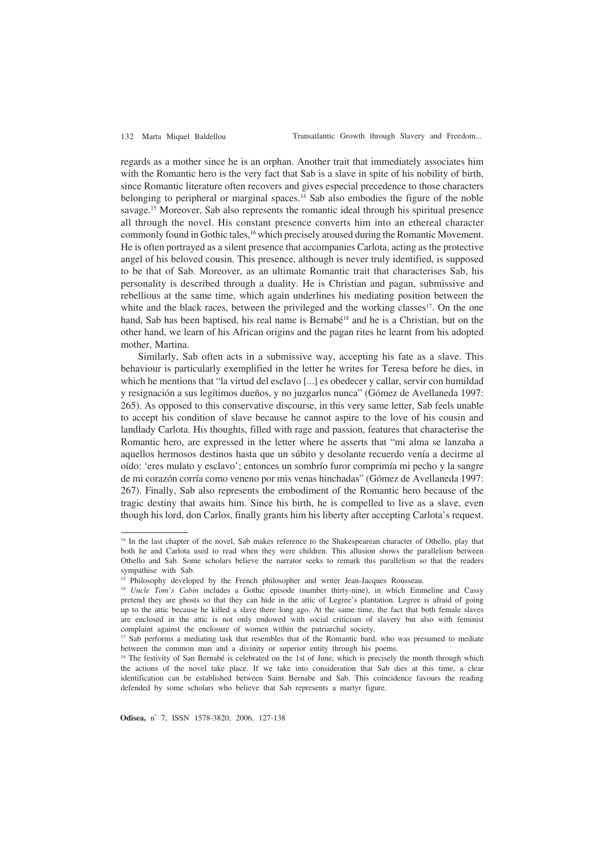regards as a mother since he is an orphan. Another trait that immediately associates him with the Romantic hero is the very fact that Sab is a slave in spite of his nobility of birth, since Romantic literature often recovers and gives especial precedence to those characters belonging to peripheral or marginal spaces.<sup>14</sup> Sab also embodies the figure of the noble savage.15 Moreover, Sab also represents the romantic ideal through his spiritual presence all through the novel. His constant presence converts him into an ethereal character commonly found in Gothic tales,<sup>16</sup> which precisely aroused during the Romantic Movement. He is often portrayed as a silent presence that accompanies Carlota, acting as the protective angel of his beloved cousin. This presence, although is never truly identified, is supposed to be that of Sab. Moreover, as an ultimate Romantic trait that characterises Sab, his personality is described through a duality. He is Christian and pagan, submissive and rebellious at the same time, which again underlines his mediating position between the white and the black races, between the privileged and the working classes<sup>17</sup>. On the one hand, Sab has been baptised, his real name is Bernabé<sup>18</sup> and he is a Christian, but on the other hand, we learn of his African origins and the pagan rites he learnt from his adopted mother, Martina.

Similarly, Sab often acts in a submissive way, accepting his fate as a slave. This behaviour is particularly exemplified in the letter he writes for Teresa before he dies, in which he mentions that "la virtud del esclavo [...] es obedecer y callar, servir con humildad y resignación a sus legítimos dueños, y no juzgarlos nunca" (Gómez de Avellaneda 1997: 265). As opposed to this conservative discourse, in this very same letter, Sab feels unable to accept his condition of slave because he cannot aspire to the love of his cousin and landlady Carlota. His thoughts, filled with rage and passion, features that characterise the Romantic hero, are expressed in the letter where he asserts that "mi alma se lanzaba a aquellos hermosos destinos hasta que un súbito y desolante recuerdo venía a decirme al oído: 'eres mulato y esclavo'; entonces un sombrío furor comprimía mi pecho y la sangre de mi corazón corría como veneno por mis venas hinchadas" (Gómez de Avellaneda 1997: 267). Finally, Sab also represents the embodiment of the Romantic hero because of the tragic destiny that awaits him. Since his birth, he is compelled to live as a slave, even though his lord, don Carlos, finally grants him his liberty after accepting Carlota's request.

<sup>&</sup>lt;sup>14</sup> In the last chapter of the novel, Sab makes reference to the Shakespearean character of Othello, play that both he and Carlota used to read when they were children. This allusion shows the parallelism between Othello and Sab. Some scholars believe the narrator seeks to remark this parallelism so that the readers sympathise with Sab.

<sup>&</sup>lt;sup>15</sup> Philosophy developed by the French philosopher and writer Jean-Jacques Rousseau.

<sup>&</sup>lt;sup>16</sup> *Uncle Tom's Cabin* includes a Gothic episode (number thirty-nine), in which Emmeline and Cassy pretend they are ghosts so that they can hide in the attic of Legree's plantation. Legree is afraid of going up to the attic because he killed a slave there long ago. At the same time, the fact that both female slaves are enclosed in the attic is not only endowed with social criticism of slavery but also with feminist complaint against the enclosure of women within the patriarchal society.

<sup>&</sup>lt;sup>17</sup> Sab performs a mediating task that resembles that of the Romantic bard, who was presumed to mediate between the common man and a divinity or superior entity through his poems.

<sup>&</sup>lt;sup>18</sup> The festivity of San Bernabé is celebrated on the 1st of June, which is precisely the month through which the actions of the novel take place. If we take into consideration that Sab dies at this time, a clear identification can be established between Saint Bernabe and Sab. This coincidence favours the reading defended by some scholars who believe that Sab represents a martyr figure.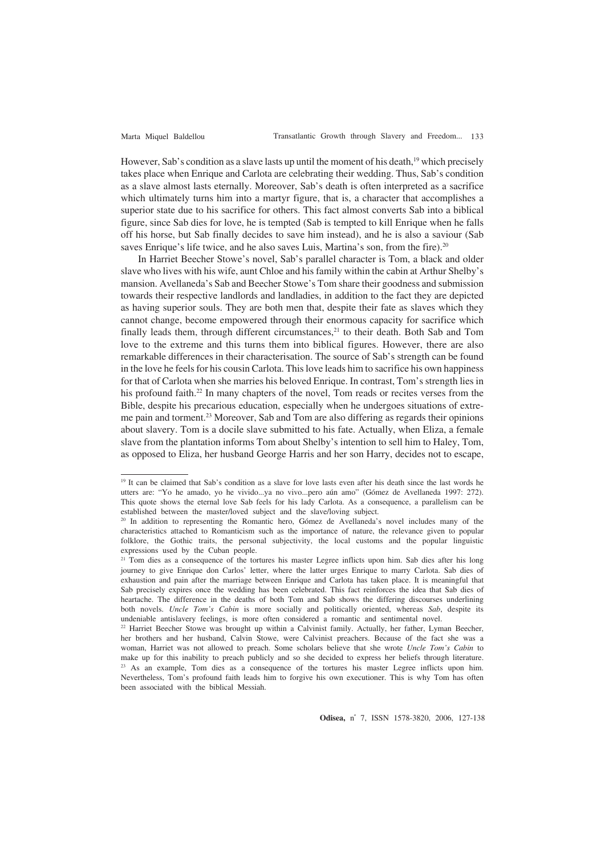However, Sab's condition as a slave lasts up until the moment of his death,<sup>19</sup> which precisely takes place when Enrique and Carlota are celebrating their wedding. Thus, Sab's condition as a slave almost lasts eternally. Moreover, Sab's death is often interpreted as a sacrifice which ultimately turns him into a martyr figure, that is, a character that accomplishes a superior state due to his sacrifice for others. This fact almost converts Sab into a biblical figure, since Sab dies for love, he is tempted (Sab is tempted to kill Enrique when he falls off his horse, but Sab finally decides to save him instead), and he is also a saviour (Sab saves Enrique's life twice, and he also saves Luis, Martina's son, from the fire).<sup>20</sup>

In Harriet Beecher Stowe's novel, Sab's parallel character is Tom, a black and older slave who lives with his wife, aunt Chloe and his family within the cabin at Arthur Shelby's mansion. Avellaneda's Sab and Beecher Stowe's Tom share their goodness and submission towards their respective landlords and landladies, in addition to the fact they are depicted as having superior souls. They are both men that, despite their fate as slaves which they cannot change, become empowered through their enormous capacity for sacrifice which finally leads them, through different circumstances,<sup>21</sup> to their death. Both Sab and Tom love to the extreme and this turns them into biblical figures. However, there are also remarkable differences in their characterisation. The source of Sab's strength can be found in the love he feels for his cousin Carlota. This love leads him to sacrifice his own happiness for that of Carlota when she marries his beloved Enrique. In contrast, Tom's strength lies in his profound faith.<sup>22</sup> In many chapters of the novel, Tom reads or recites verses from the Bible, despite his precarious education, especially when he undergoes situations of extreme pain and torment.23 Moreover, Sab and Tom are also differing as regards their opinions about slavery. Tom is a docile slave submitted to his fate. Actually, when Eliza, a female slave from the plantation informs Tom about Shelby's intention to sell him to Haley, Tom, as opposed to Eliza, her husband George Harris and her son Harry, decides not to escape,

<sup>&</sup>lt;sup>19</sup> It can be claimed that Sab's condition as a slave for love lasts even after his death since the last words he utters are: "Yo he amado, yo he vivido...ya no vivo...pero aún amo" (Gómez de Avellaneda 1997: 272). This quote shows the eternal love Sab feels for his lady Carlota. As a consequence, a parallelism can be established between the master/loved subject and the slave/loving subject.

<sup>&</sup>lt;sup>20</sup> In addition to representing the Romantic hero, Gómez de Avellaneda's novel includes many of the characteristics attached to Romanticism such as the importance of nature, the relevance given to popular folklore, the Gothic traits, the personal subjectivity, the local customs and the popular linguistic expressions used by the Cuban people.

<sup>&</sup>lt;sup>21</sup> Tom dies as a consequence of the tortures his master Legree inflicts upon him. Sab dies after his long journey to give Enrique don Carlos' letter, where the latter urges Enrique to marry Carlota. Sab dies of exhaustion and pain after the marriage between Enrique and Carlota has taken place. It is meaningful that Sab precisely expires once the wedding has been celebrated. This fact reinforces the idea that Sab dies of heartache. The difference in the deaths of both Tom and Sab shows the differing discourses underlining both novels. *Uncle Tom's Cabin* is more socially and politically oriented, whereas *Sab*, despite its undeniable antislavery feelings, is more often considered a romantic and sentimental novel.

<sup>&</sup>lt;sup>22</sup> Harriet Beecher Stowe was brought up within a Calvinist family. Actually, her father, Lyman Beecher, her brothers and her husband, Calvin Stowe, were Calvinist preachers. Because of the fact she was a woman, Harriet was not allowed to preach. Some scholars believe that she wrote *Uncle Tom's Cabin* to make up for this inability to preach publicly and so she decided to express her beliefs through literature. <sup>23</sup> As an example, Tom dies as a consequence of the tortures his master Legree inflicts upon him. Nevertheless, Tom's profound faith leads him to forgive his own executioner. This is why Tom has often been associated with the biblical Messiah.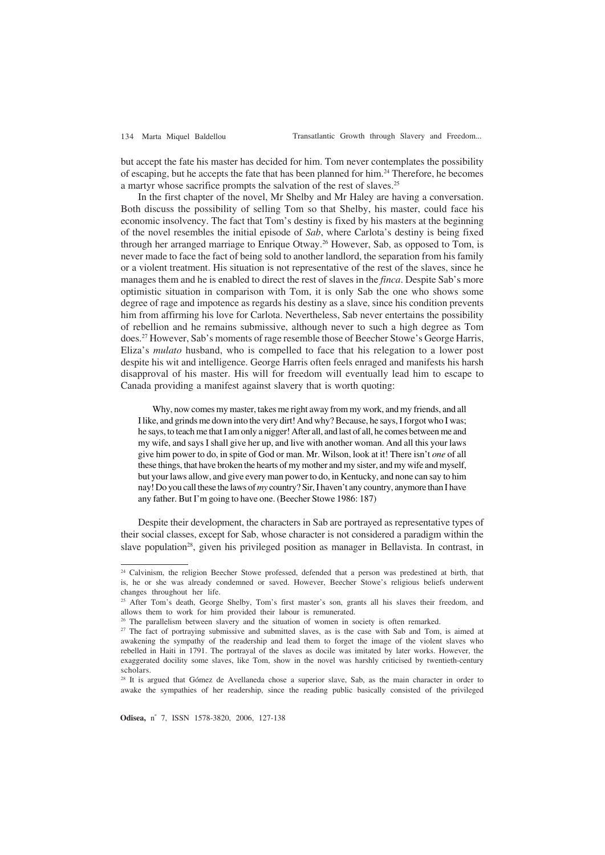but accept the fate his master has decided for him. Tom never contemplates the possibility of escaping, but he accepts the fate that has been planned for him.24 Therefore, he becomes a martyr whose sacrifice prompts the salvation of the rest of slaves.<sup>25</sup>

In the first chapter of the novel, Mr Shelby and Mr Haley are having a conversation. Both discuss the possibility of selling Tom so that Shelby, his master, could face his economic insolvency. The fact that Tom's destiny is fixed by his masters at the beginning of the novel resembles the initial episode of *Sab*, where Carlota's destiny is being fixed through her arranged marriage to Enrique Otway.<sup>26</sup> However, Sab, as opposed to Tom, is never made to face the fact of being sold to another landlord, the separation from his family or a violent treatment. His situation is not representative of the rest of the slaves, since he manages them and he is enabled to direct the rest of slaves in the *finca*. Despite Sab's more optimistic situation in comparison with Tom, it is only Sab the one who shows some degree of rage and impotence as regards his destiny as a slave, since his condition prevents him from affirming his love for Carlota. Nevertheless, Sab never entertains the possibility of rebellion and he remains submissive, although never to such a high degree as Tom does.27 However, Sab's moments of rage resemble those of Beecher Stowe's George Harris, Eliza's *mulato* husband, who is compelled to face that his relegation to a lower post despite his wit and intelligence. George Harris often feels enraged and manifests his harsh disapproval of his master. His will for freedom will eventually lead him to escape to Canada providing a manifest against slavery that is worth quoting:

Why, now comes my master, takes me right away from my work, and my friends, and all I like, and grinds me down into the very dirt! And why? Because, he says, I forgot who I was; he says, to teach me that I am only a nigger! After all, and last of all, he comes between me and my wife, and says I shall give her up, and live with another woman. And all this your laws give him power to do, in spite of God or man. Mr. Wilson, look at it! There isn't *one* of all these things, that have broken the hearts of my mother and my sister, and my wife and myself, but your laws allow, and give every man power to do, in Kentucky, and none can say to him nay! Do you call these the laws of *my* country? Sir, I haven't any country, anymore than I have any father. But I'm going to have one. (Beecher Stowe 1986: 187)

Despite their development, the characters in Sab are portrayed as representative types of their social classes, except for Sab, whose character is not considered a paradigm within the slave population<sup>28</sup>, given his privileged position as manager in Bellavista. In contrast, in

<sup>&</sup>lt;sup>24</sup> Calvinism, the religion Beecher Stowe professed, defended that a person was predestined at birth, that is, he or she was already condemned or saved. However, Beecher Stowe's religious beliefs underwent changes throughout her life.

<sup>&</sup>lt;sup>25</sup> After Tom's death, George Shelby, Tom's first master's son, grants all his slaves their freedom, and allows them to work for him provided their labour is remunerated.

<sup>&</sup>lt;sup>26</sup> The parallelism between slavery and the situation of women in society is often remarked.

<sup>&</sup>lt;sup>27</sup> The fact of portraying submissive and submitted slaves, as is the case with Sab and Tom, is aimed at awakening the sympathy of the readership and lead them to forget the image of the violent slaves who rebelled in Haiti in 1791. The portrayal of the slaves as docile was imitated by later works. However, the exaggerated docility some slaves, like Tom, show in the novel was harshly criticised by twentieth-century scholars.

<sup>&</sup>lt;sup>28</sup> It is argued that Gómez de Avellaneda chose a superior slave, Sab, as the main character in order to awake the sympathies of her readership, since the reading public basically consisted of the privileged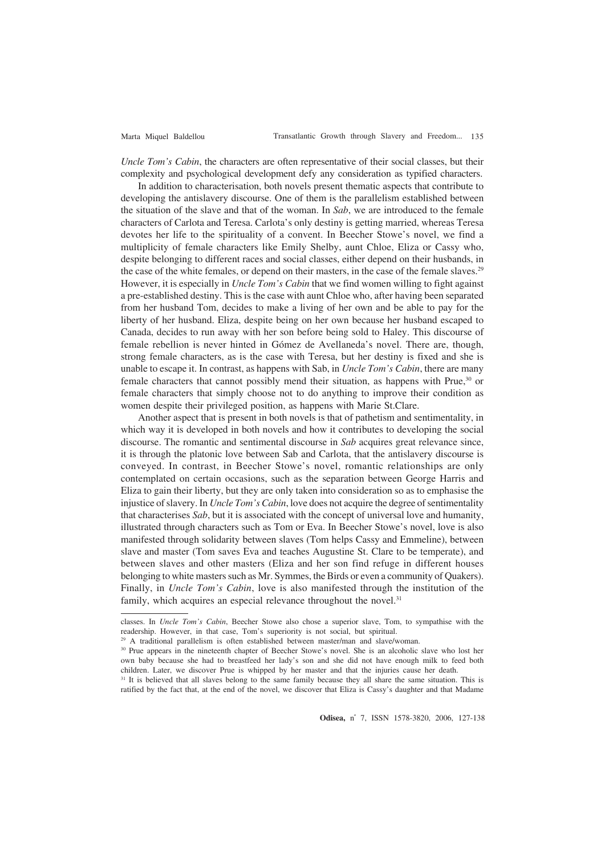*Uncle Tom's Cabin*, the characters are often representative of their social classes, but their complexity and psychological development defy any consideration as typified characters.

In addition to characterisation, both novels present thematic aspects that contribute to developing the antislavery discourse. One of them is the parallelism established between the situation of the slave and that of the woman. In *Sab*, we are introduced to the female characters of Carlota and Teresa. Carlota's only destiny is getting married, whereas Teresa devotes her life to the spirituality of a convent. In Beecher Stowe's novel, we find a multiplicity of female characters like Emily Shelby, aunt Chloe, Eliza or Cassy who, despite belonging to different races and social classes, either depend on their husbands, in the case of the white females, or depend on their masters, in the case of the female slaves.<sup>29</sup> However, it is especially in *Uncle Tom's Cabin* that we find women willing to fight against a pre-established destiny. This is the case with aunt Chloe who, after having been separated from her husband Tom, decides to make a living of her own and be able to pay for the liberty of her husband. Eliza, despite being on her own because her husband escaped to Canada, decides to run away with her son before being sold to Haley. This discourse of female rebellion is never hinted in Gómez de Avellaneda's novel. There are, though, strong female characters, as is the case with Teresa, but her destiny is fixed and she is unable to escape it. In contrast, as happens with Sab, in *Uncle Tom's Cabin*, there are many female characters that cannot possibly mend their situation, as happens with Prue, $30$  or female characters that simply choose not to do anything to improve their condition as women despite their privileged position, as happens with Marie St.Clare.

Another aspect that is present in both novels is that of pathetism and sentimentality, in which way it is developed in both novels and how it contributes to developing the social discourse. The romantic and sentimental discourse in *Sab* acquires great relevance since, it is through the platonic love between Sab and Carlota, that the antislavery discourse is conveyed. In contrast, in Beecher Stowe's novel, romantic relationships are only contemplated on certain occasions, such as the separation between George Harris and Eliza to gain their liberty, but they are only taken into consideration so as to emphasise the injustice of slavery. In *Uncle Tom's Cabin*, love does not acquire the degree of sentimentality that characterises *Sab*, but it is associated with the concept of universal love and humanity, illustrated through characters such as Tom or Eva. In Beecher Stowe's novel, love is also manifested through solidarity between slaves (Tom helps Cassy and Emmeline), between slave and master (Tom saves Eva and teaches Augustine St. Clare to be temperate), and between slaves and other masters (Eliza and her son find refuge in different houses belonging to white masters such as Mr. Symmes, the Birds or even a community of Quakers). Finally, in *Uncle Tom's Cabin*, love is also manifested through the institution of the family, which acquires an especial relevance throughout the novel.<sup>31</sup>

classes. In *Uncle Tom's Cabin*, Beecher Stowe also chose a superior slave, Tom, to sympathise with the readership. However, in that case, Tom's superiority is not social, but spiritual.

<sup>&</sup>lt;sup>29</sup> A traditional parallelism is often established between master/man and slave/woman.

<sup>&</sup>lt;sup>30</sup> Prue appears in the nineteenth chapter of Beecher Stowe's novel. She is an alcoholic slave who lost her own baby because she had to breastfeed her lady's son and she did not have enough milk to feed both children. Later, we discover Prue is whipped by her master and that the injuries cause her death.

<sup>&</sup>lt;sup>31</sup> It is believed that all slaves belong to the same family because they all share the same situation. This is ratified by the fact that, at the end of the novel, we discover that Eliza is Cassy's daughter and that Madame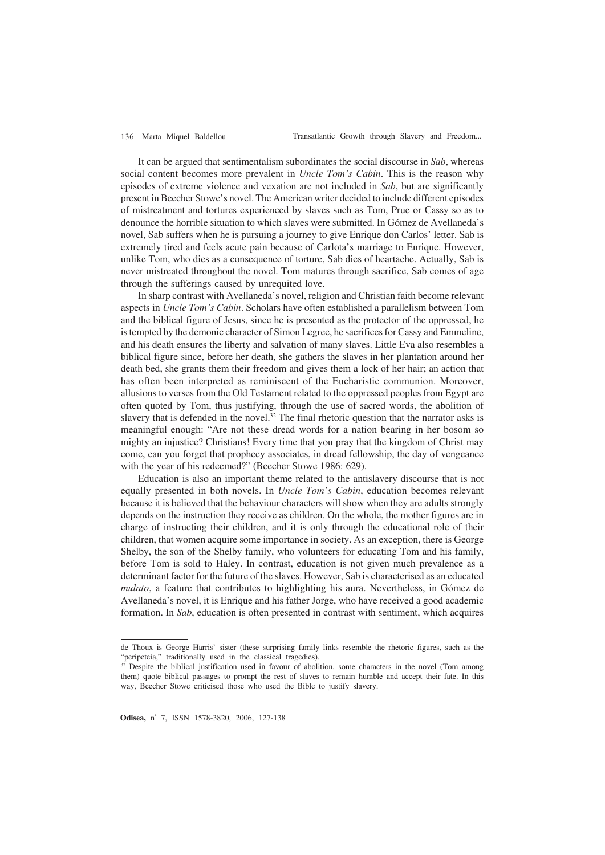It can be argued that sentimentalism subordinates the social discourse in *Sab*, whereas social content becomes more prevalent in *Uncle Tom's Cabin*. This is the reason why episodes of extreme violence and vexation are not included in *Sab*, but are significantly present in Beecher Stowe's novel. The American writer decided to include different episodes of mistreatment and tortures experienced by slaves such as Tom, Prue or Cassy so as to denounce the horrible situation to which slaves were submitted. In Gómez de Avellaneda's novel, Sab suffers when he is pursuing a journey to give Enrique don Carlos' letter. Sab is extremely tired and feels acute pain because of Carlota's marriage to Enrique. However, unlike Tom, who dies as a consequence of torture, Sab dies of heartache. Actually, Sab is never mistreated throughout the novel. Tom matures through sacrifice, Sab comes of age through the sufferings caused by unrequited love.

In sharp contrast with Avellaneda's novel, religion and Christian faith become relevant aspects in *Uncle Tom's Cabin*. Scholars have often established a parallelism between Tom and the biblical figure of Jesus, since he is presented as the protector of the oppressed, he is tempted by the demonic character of Simon Legree, he sacrifices for Cassy and Emmeline, and his death ensures the liberty and salvation of many slaves. Little Eva also resembles a biblical figure since, before her death, she gathers the slaves in her plantation around her death bed, she grants them their freedom and gives them a lock of her hair; an action that has often been interpreted as reminiscent of the Eucharistic communion. Moreover, allusions to verses from the Old Testament related to the oppressed peoples from Egypt are often quoted by Tom, thus justifying, through the use of sacred words, the abolition of slavery that is defended in the novel.<sup>32</sup> The final rhetoric question that the narrator asks is meaningful enough: "Are not these dread words for a nation bearing in her bosom so mighty an injustice? Christians! Every time that you pray that the kingdom of Christ may come, can you forget that prophecy associates, in dread fellowship, the day of vengeance with the year of his redeemed?" (Beecher Stowe 1986: 629).

Education is also an important theme related to the antislavery discourse that is not equally presented in both novels. In *Uncle Tom's Cabin*, education becomes relevant because it is believed that the behaviour characters will show when they are adults strongly depends on the instruction they receive as children. On the whole, the mother figures are in charge of instructing their children, and it is only through the educational role of their children, that women acquire some importance in society. As an exception, there is George Shelby, the son of the Shelby family, who volunteers for educating Tom and his family, before Tom is sold to Haley. In contrast, education is not given much prevalence as a determinant factor for the future of the slaves. However, Sab is characterised as an educated *mulato*, a feature that contributes to highlighting his aura. Nevertheless, in Gómez de Avellaneda's novel, it is Enrique and his father Jorge, who have received a good academic formation. In *Sab*, education is often presented in contrast with sentiment, which acquires

de Thoux is George Harris' sister (these surprising family links resemble the rhetoric figures, such as the "peripeteia," traditionally used in the classical tragedies).

 $32$  Despite the biblical justification used in favour of abolition, some characters in the novel (Tom among them) quote biblical passages to prompt the rest of slaves to remain humble and accept their fate. In this way, Beecher Stowe criticised those who used the Bible to justify slavery.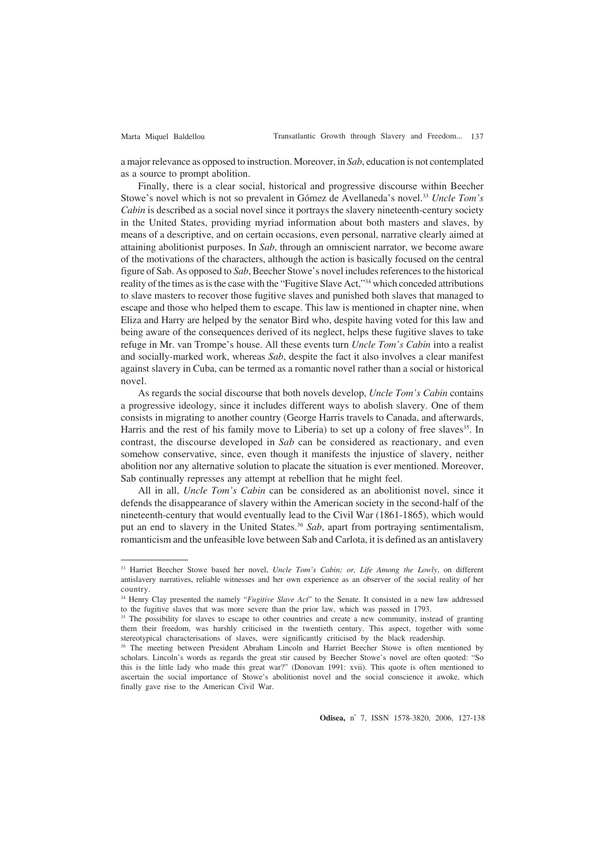a major relevance as opposed to instruction. Moreover, in *Sab*, education is not contemplated as a source to prompt abolition.

Finally, there is a clear social, historical and progressive discourse within Beecher Stowe's novel which is not so prevalent in Gómez de Avellaneda's novel.33 *Uncle Tom's Cabin* is described as a social novel since it portrays the slavery nineteenth-century society in the United States, providing myriad information about both masters and slaves, by means of a descriptive, and on certain occasions, even personal, narrative clearly aimed at attaining abolitionist purposes. In *Sab*, through an omniscient narrator, we become aware of the motivations of the characters, although the action is basically focused on the central figure of Sab. As opposed to *Sab*, Beecher Stowe's novel includes references to the historical reality of the times as is the case with the "Fugitive Slave Act,"34 which conceded attributions to slave masters to recover those fugitive slaves and punished both slaves that managed to escape and those who helped them to escape. This law is mentioned in chapter nine, when Eliza and Harry are helped by the senator Bird who, despite having voted for this law and being aware of the consequences derived of its neglect, helps these fugitive slaves to take refuge in Mr. van Trompe's house. All these events turn *Uncle Tom's Cabin* into a realist and socially-marked work, whereas *Sab*, despite the fact it also involves a clear manifest against slavery in Cuba, can be termed as a romantic novel rather than a social or historical novel.

As regards the social discourse that both novels develop, *Uncle Tom's Cabin* contains a progressive ideology, since it includes different ways to abolish slavery. One of them consists in migrating to another country (George Harris travels to Canada, and afterwards, Harris and the rest of his family move to Liberia) to set up a colony of free slaves<sup>35</sup>. In contrast, the discourse developed in *Sab* can be considered as reactionary, and even somehow conservative, since, even though it manifests the injustice of slavery, neither abolition nor any alternative solution to placate the situation is ever mentioned. Moreover, Sab continually represses any attempt at rebellion that he might feel.

All in all, *Uncle Tom's Cabin* can be considered as an abolitionist novel, since it defends the disappearance of slavery within the American society in the second-half of the nineteenth-century that would eventually lead to the Civil War (1861-1865), which would put an end to slavery in the United States.36 *Sab*, apart from portraying sentimentalism, romanticism and the unfeasible love between Sab and Carlota, it is defined as an antislavery

<sup>33</sup> Harriet Beecher Stowe based her novel, *Uncle Tom's Cabin; or, Life Among the Lowly*, on different antislavery narratives, reliable witnesses and her own experience as an observer of the social reality of her country.

<sup>&</sup>lt;sup>34</sup> Henry Clay presented the namely "*Fugitive Slave Act*" to the Senate. It consisted in a new law addressed to the fugitive slaves that was more severe than the prior law, which was passed in 1793.

<sup>&</sup>lt;sup>35</sup> The possibility for slaves to escape to other countries and create a new community, instead of granting them their freedom, was harshly criticised in the twentieth century. This aspect, together with some stereotypical characterisations of slaves, were significantly criticised by the black readership.

<sup>&</sup>lt;sup>36</sup> The meeting between President Abraham Lincoln and Harriet Beecher Stowe is often mentioned by scholars. Lincoln's words as regards the great stir caused by Beecher Stowe's novel are often quoted: "So this is the little lady who made this great war?" (Donovan 1991: xvii). This quote is often mentioned to ascertain the social importance of Stowe's abolitionist novel and the social conscience it awoke, which finally gave rise to the American Civil War.